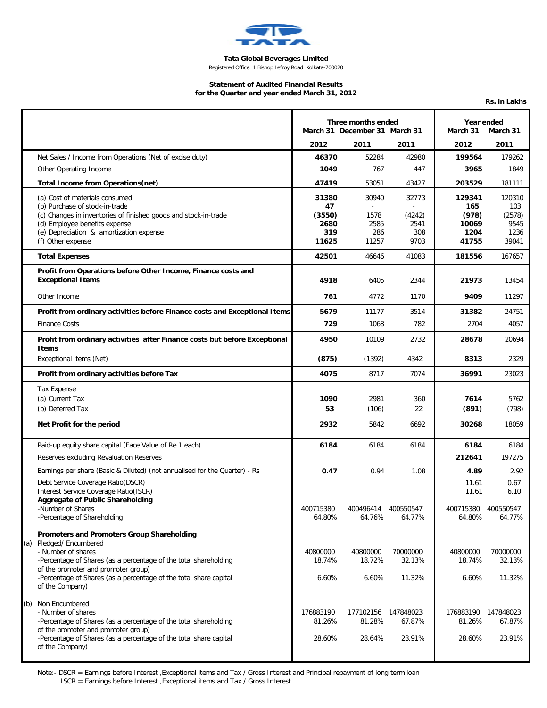

## **Tata Global Beverages Limited**

**Rs. in Lakhs**

Registered Office: 1 Bishop Lefroy Road Kolkata-700020

## **Statement of Audited Financial Results for the Quarter and year ended March 31, 2012**

|                                                                                                                             | Three months ended<br>March 31 December 31 March 31 |                     | Year ended<br>March 31<br>March 31 |                      |               |
|-----------------------------------------------------------------------------------------------------------------------------|-----------------------------------------------------|---------------------|------------------------------------|----------------------|---------------|
|                                                                                                                             | 2012                                                | 2011                | 2011                               | 2012                 | 2011          |
| Net Sales / Income from Operations (Net of excise duty)                                                                     | 46370                                               | 52284               | 42980                              | 199564               | 179262        |
| Other Operating Income                                                                                                      | 1049                                                | 767                 | 447                                | 3965                 | 1849          |
| Total Income from Operations(net)                                                                                           | 47419                                               | 53051               | 43427                              | 203529               | 181111        |
| (a) Cost of materials consumed<br>(b) Purchase of stock-in-trade                                                            | 31380<br>47                                         | 30940<br>$\omega$   | 32773                              | 129341<br>165        | 120310<br>103 |
| (c) Changes in inventories of finished goods and stock-in-trade                                                             | (3550)                                              | 1578                | (4242)                             | (978)                | (2578)        |
| (d) Employee benefits expense<br>(e) Depreciation & amortization expense                                                    | 2680<br>319                                         | 2585<br>286         | 2541<br>308                        | 10069<br>1204        | 9545<br>1236  |
| (f) Other expense                                                                                                           | 11625                                               | 11257               | 9703                               | 41755                | 39041         |
| <b>Total Expenses</b>                                                                                                       | 42501                                               | 46646               | 41083                              | 181556               | 167657        |
| Profit from Operations before Other Income, Finance costs and<br><b>Exceptional Items</b>                                   | 4918                                                | 6405                | 2344                               | 21973                | 13454         |
| Other Income                                                                                                                | 761                                                 | 4772                | 1170                               | 9409                 | 11297         |
| Profit from ordinary activities before Finance costs and Exceptional Items                                                  | 5679                                                | 11177               | 3514                               | 31382                | 24751         |
| <b>Finance Costs</b>                                                                                                        | 729                                                 | 1068                | 782                                | 2704                 | 4057          |
| Profit from ordinary activities after Finance costs but before Exceptional<br>Items                                         | 4950                                                | 10109               | 2732                               | 28678                | 20694         |
| Exceptional items (Net)                                                                                                     | (875)                                               | (1392)              | 4342                               | 8313                 | 2329          |
| Profit from ordinary activities before Tax                                                                                  | 4075                                                | 8717                | 7074                               | 36991                | 23023         |
| <b>Tax Expense</b>                                                                                                          |                                                     |                     |                                    |                      |               |
| (a) Current Tax                                                                                                             | 1090                                                | 2981                | 360                                | 7614                 | 5762          |
| (b) Deferred Tax                                                                                                            | 53                                                  | (106)               | 22                                 | (891)                | (798)         |
| Net Profit for the period                                                                                                   | 2932                                                | 5842                | 6692                               | 30268                | 18059         |
| Paid-up equity share capital (Face Value of Re 1 each)                                                                      | 6184                                                | 6184                | 6184                               | 6184                 | 6184          |
| Reserves excluding Revaluation Reserves                                                                                     |                                                     |                     |                                    | 212641               | 197275        |
| Earnings per share (Basic & Diluted) (not annualised for the Quarter) - Rs                                                  | 0.47                                                | 0.94                | 1.08                               | 4.89                 | 2.92          |
| Debt Service Coverage Ratio(DSCR)<br>Interest Service Coverage Ratio(ISCR)<br>Aggregate of Public Shareholding              |                                                     |                     |                                    | 11.61<br>11.61       | 0.67<br>6.10  |
| -Number of Shares                                                                                                           | 400715380                                           | 400496414           | 400550547                          | 400715380  400550547 |               |
| -Percentage of Shareholding                                                                                                 | 64.80%                                              | 64.76%              | 64.77%                             | 64.80%               | 64.77%        |
| Promoters and Promoters Group Shareholding<br>(a) Pledged/ Encumbered                                                       |                                                     |                     |                                    |                      |               |
| - Number of shares                                                                                                          | 40800000                                            | 40800000            | 70000000                           | 40800000             | 70000000      |
| -Percentage of Shares (as a percentage of the total shareholding                                                            | 18.74%                                              | 18.72%              | 32.13%                             | 18.74%               | 32.13%        |
| of the promoter and promoter group)<br>-Percentage of Shares (as a percentage of the total share capital<br>of the Company) | 6.60%                                               | 6.60%               | 11.32%                             | 6.60%                | 11.32%        |
| (b) Non Encumbered                                                                                                          |                                                     |                     |                                    |                      |               |
| - Number of shares                                                                                                          | 176883190                                           | 177102156 147848023 |                                    | 176883190 147848023  |               |
| -Percentage of Shares (as a percentage of the total shareholding<br>of the promoter and promoter group)                     | 81.26%                                              | 81.28%              | 67.87%                             | 81.26%               | 67.87%        |
| -Percentage of Shares (as a percentage of the total share capital<br>of the Company)                                        | 28.60%                                              | 28.64%              | 23.91%                             | 28.60%               | 23.91%        |

Note:- DSCR = Earnings before Interest ,Exceptional items and Tax / Gross Interest and Principal repayment of long term loan ISCR = Earnings before Interest ,Exceptional items and Tax / Gross Interest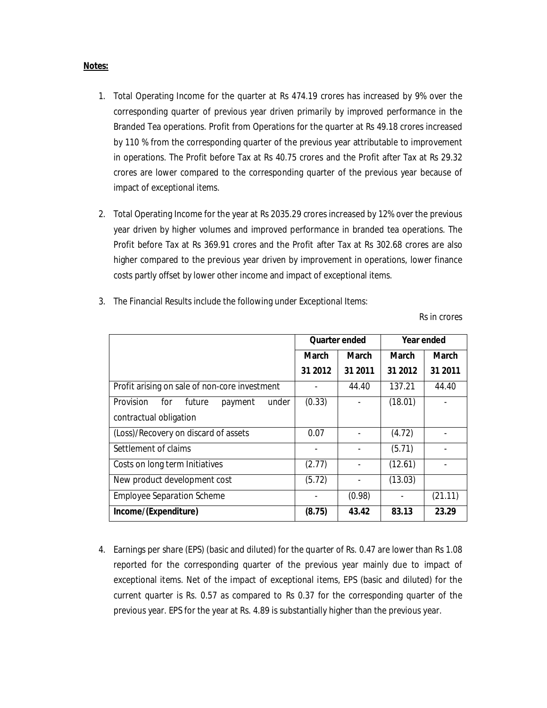## **Notes:**

- 1. Total Operating Income for the quarter at Rs 474.19 crores has increased by 9% over the corresponding quarter of previous year driven primarily by improved performance in the Branded Tea operations. Profit from Operations for the quarter at Rs 49.18 crores increased by 110 % from the corresponding quarter of the previous year attributable to improvement in operations. The Profit before Tax at Rs 40.75 crores and the Profit after Tax at Rs 29.32 crores are lower compared to the corresponding quarter of the previous year because of impact of exceptional items.
- 2. Total Operating Income for the year at Rs 2035.29 crores increased by 12% over the previous year driven by higher volumes and improved performance in branded tea operations. The Profit before Tax at Rs 369.91 crores and the Profit after Tax at Rs 302.68 crores are also higher compared to the previous year driven by improvement in operations, lower finance costs partly offset by lower other income and impact of exceptional items.
- 3. The Financial Results include the following under Exceptional Items:

Rs in crores

|                                                | <b>Quarter ended</b> |              | Year ended   |              |
|------------------------------------------------|----------------------|--------------|--------------|--------------|
|                                                | <b>March</b>         | <b>March</b> | <b>March</b> | <b>March</b> |
|                                                | 31 2012              | 31 2011      | 31 2012      | 31 2011      |
| Profit arising on sale of non-core investment  |                      | 44.40        | 137.21       | 44.40        |
| Provision<br>for<br>under<br>future<br>payment | (0.33)               |              | (18.01)      |              |
| contractual obligation                         |                      |              |              |              |
| (Loss)/Recovery on discard of assets           | 0.07                 |              | (4.72)       |              |
| Settlement of claims                           |                      |              | (5.71)       |              |
| Costs on long term Initiatives                 | (2.77)               |              | (12.61)      |              |
| New product development cost                   | (5.72)               |              | (13.03)      |              |
| <b>Employee Separation Scheme</b>              |                      | (0.98)       |              | (21.11)      |
| Income/(Expenditure)                           | (8.75)               | 43.42        | 83.13        | 23.29        |

4. Earnings per share (EPS) (basic and diluted) for the quarter of Rs. 0.47 are lower than Rs 1.08 reported for the corresponding quarter of the previous year mainly due to impact of exceptional items. Net of the impact of exceptional items, EPS (basic and diluted) for the current quarter is Rs. 0.57 as compared to Rs 0.37 for the corresponding quarter of the previous year. EPS for the year at Rs. 4.89 is substantially higher than the previous year.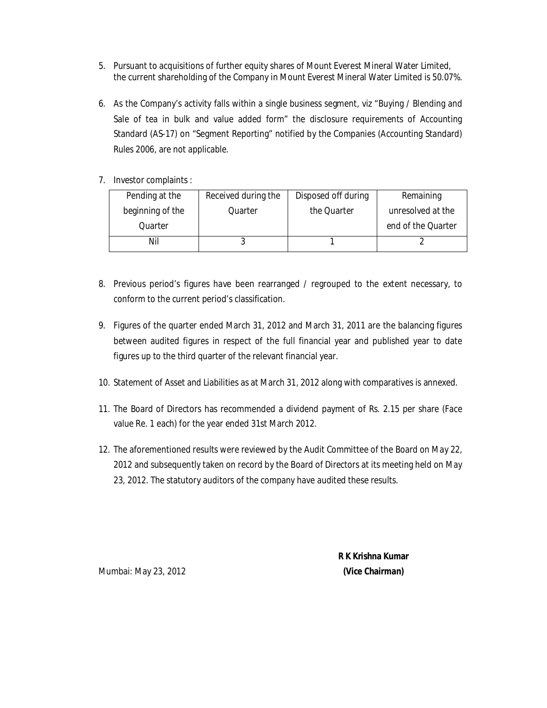- 5. Pursuant to acquisitions of further equity shares of Mount Everest Mineral Water Limited, the current shareholding of the Company in Mount Everest Mineral Water Limited is 50.07%.
- 6. As the Company's activity falls within a single business segment, viz "Buying / Blending and Sale of tea in bulk and value added form" the disclosure requirements of Accounting Standard (AS-17) on "Segment Reporting" notified by the Companies (Accounting Standard) Rules 2006, are not applicable.
- 7. Investor complaints :

| Pending at the   | Received during the | Disposed off during | Remaining          |
|------------------|---------------------|---------------------|--------------------|
| beginning of the | Quarter             | the Quarter         | unresolved at the  |
| Ouarter          |                     |                     | end of the Quarter |
| Nil              |                     |                     |                    |

- 8. Previous period's figures have been rearranged / regrouped to the extent necessary, to conform to the current period's classification.
- 9. Figures of the quarter ended March 31, 2012 and March 31, 2011 are the balancing figures between audited figures in respect of the full financial year and published year to date figures up to the third quarter of the relevant financial year.
- 10. Statement of Asset and Liabilities as at March 31, 2012 along with comparatives is annexed.
- 11. The Board of Directors has recommended a dividend payment of Rs. 2.15 per share (Face value Re. 1 each) for the year ended 31st March 2012.
- 12. The aforementioned results were reviewed by the Audit Committee of the Board on May 22, 2012 and subsequently taken on record by the Board of Directors at its meeting held on May 23, 2012. The statutory auditors of the company have audited these results.

 **R K Krishna Kumar**

Mumbai: May 23, 2012 **(Vice Chairman)**